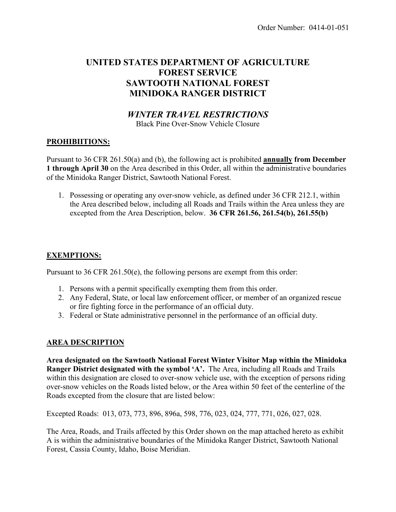# **UNITED STATES DEPARTMENT OF AGRICULTURE FOREST SERVICE SAWTOOTH NATIONAL FOREST MINIDOKA RANGER DISTRICT**

# *WINTER TRAVEL RESTRICTIONS*

Black Pine Over-Snow Vehicle Closure

# **PROHIBIITIONS:**

Pursuant to 36 CFR 261.50(a) and (b), the following act is prohibited **annually from December 1 through April 30** on the Area described in this Order, all within the administrative boundaries of the Minidoka Ranger District, Sawtooth National Forest.

1. Possessing or operating any over-snow vehicle, as defined under 36 CFR 212.1, within the Area described below, including all Roads and Trails within the Area unless they are excepted from the Area Description, below. **36 CFR 261.56, 261.54(b), 261.55(b)**

# **EXEMPTIONS:**

Pursuant to 36 CFR 261.50(e), the following persons are exempt from this order:

- 1. Persons with a permit specifically exempting them from this order.
- 2. Any Federal, State, or local law enforcement officer, or member of an organized rescue or fire fighting force in the performance of an official duty.
- 3. Federal or State administrative personnel in the performance of an official duty.

#### **AREA DESCRIPTION**

**Area designated on the Sawtooth National Forest Winter Visitor Map within the Minidoka Ranger District designated with the symbol 'A'.** The Area, including all Roads and Trails within this designation are closed to over-snow vehicle use, with the exception of persons riding over-snow vehicles on the Roads listed below, or the Area within 50 feet of the centerline of the Roads excepted from the closure that are listed below:

Excepted Roads: 013, 073, 773, 896, 896a, 598, 776, 023, 024, 777, 771, 026, 027, 028.

The Area, Roads, and Trails affected by this Order shown on the map attached hereto as exhibit A is within the administrative boundaries of the Minidoka Ranger District, Sawtooth National Forest, Cassia County, Idaho, Boise Meridian.